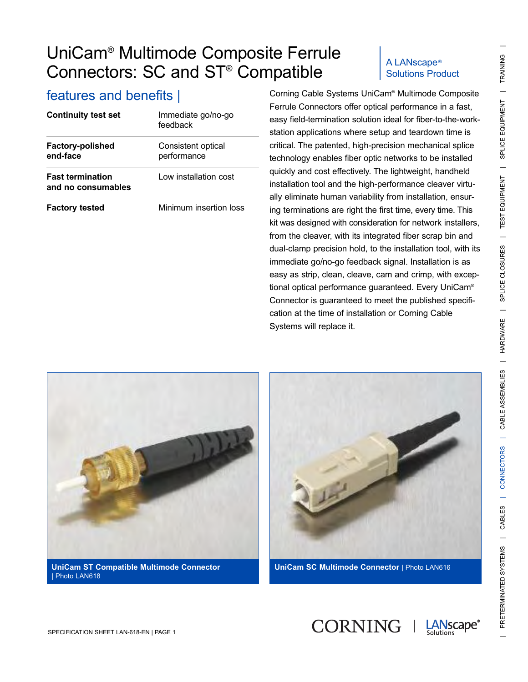| <b>Continuity test set</b>                    | Immediate go/no-go<br>feedback    |  |
|-----------------------------------------------|-----------------------------------|--|
| <b>Factory-polished</b><br>end-face           | Consistent optical<br>performance |  |
| <b>Fast termination</b><br>and no consumables | Low installation cost             |  |
| <b>Factory tested</b>                         | Minimum insertion loss            |  |

# Solutions Product

features and benefits | Corning Cable Systems UniCam® Multimode Composite Ferrule Connectors offer optical performance in a fast, easy field-termination solution ideal for fiber-to-the-workstation applications where setup and teardown time is critical. The patented, high-precision mechanical splice technology enables fiber optic networks to be installed quickly and cost effectively. The lightweight, handheld installation tool and the high-performance cleaver virtually eliminate human variability from installation, ensuring terminations are right the first time, every time. This kit was designed with consideration for network installers, from the cleaver, with its integrated fiber scrap bin and dual-clamp precision hold, to the installation tool, with its immediate go/no-go feedback signal. Installation is as easy as strip, clean, cleave, cam and crimp, with exceptional optical performance guaranteed. Every UniCam® Connector is guaranteed to meet the published specification at the time of installation or Corning Cable Systems will replace it.



| Photo LAN618



**UniCam SC Multimode Connector** | Photo LAN616

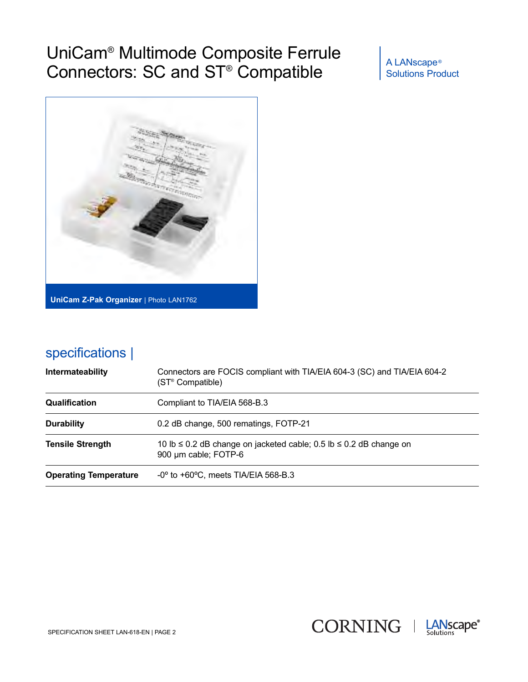Solutions Product



## specifications |

| <b>Intermateability</b>      | Connectors are FOCIS compliant with TIA/EIA 604-3 (SC) and TIA/EIA 604-2<br>(ST <sup>®</sup> Compatible) |  |  |
|------------------------------|----------------------------------------------------------------------------------------------------------|--|--|
| <b>Qualification</b>         | Compliant to TIA/EIA 568-B.3                                                                             |  |  |
| <b>Durability</b>            | 0.2 dB change, 500 rematings, FOTP-21                                                                    |  |  |
| <b>Tensile Strength</b>      | 10 lb $\leq$ 0.2 dB change on jacketed cable; 0.5 lb $\leq$ 0.2 dB change on<br>900 µm cable; FOTP-6     |  |  |
| <b>Operating Temperature</b> | $-0^{\circ}$ to $+60^{\circ}$ C, meets TIA/EIA 568-B.3                                                   |  |  |

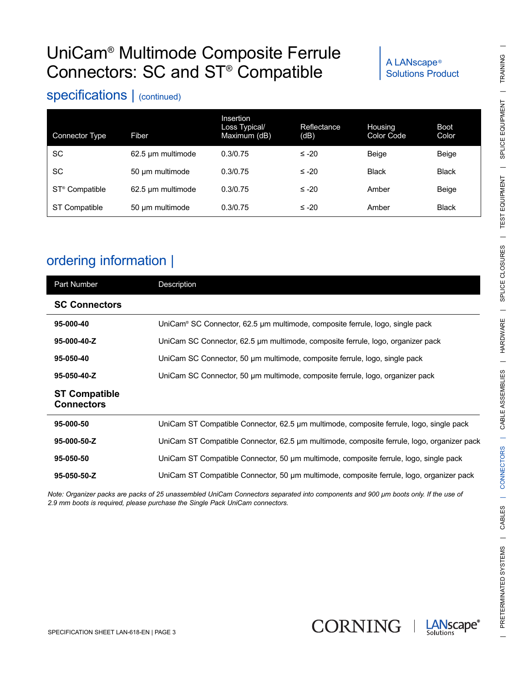# Solutions Product

### specifications | (continued)

| Connector Type             | Fiber             | Insertion<br>Loss Typical/<br>Maximum (dB) | Reflectance<br>(dB) | <b>Housing</b><br>Color Code | <b>Boot</b><br>Color |
|----------------------------|-------------------|--------------------------------------------|---------------------|------------------------------|----------------------|
| <b>SC</b>                  | 62.5 um multimode | 0.3/0.75                                   | $≤ -20$             | <b>Beige</b>                 | Beige                |
| SC                         | 50 µm multimode   | 0.3/0.75                                   | $≤ -20$             | <b>Black</b>                 | <b>Black</b>         |
| ST <sup>®</sup> Compatible | 62.5 um multimode | 0.3/0.75                                   | $≤ -20$             | Amber                        | Beige                |
| <b>ST Compatible</b>       | 50 µm multimode   | 0.3/0.75                                   | ≤ -20               | Amber                        | <b>Black</b>         |

## ordering information |

| Part Number                               | Description                                                                                |
|-------------------------------------------|--------------------------------------------------------------------------------------------|
| <b>SC Connectors</b>                      |                                                                                            |
| 95-000-40                                 | UniCam® SC Connector, 62.5 µm multimode, composite ferrule, logo, single pack              |
| 95-000-40-Z                               | UniCam SC Connector, 62.5 µm multimode, composite ferrule, logo, organizer pack            |
| 95-050-40                                 | UniCam SC Connector, 50 µm multimode, composite ferrule, logo, single pack                 |
| 95-050-40-Z                               | UniCam SC Connector, 50 um multimode, composite ferrule, logo, organizer pack              |
| <b>ST Compatible</b><br><b>Connectors</b> |                                                                                            |
| 95-000-50                                 | UniCam ST Compatible Connector, 62.5 µm multimode, composite ferrule, logo, single pack    |
| 95-000-50-Z                               | UniCam ST Compatible Connector, 62.5 µm multimode, composite ferrule, logo, organizer pack |
| 95-050-50                                 | UniCam ST Compatible Connector, 50 µm multimode, composite ferrule, logo, single pack      |
| 95-050-50-Z                               | UniCam ST Compatible Connector, 50 µm multimode, composite ferrule, logo, organizer pack   |

*Note: Organizer packs are packs of 25 unassembled UniCam Connectors separated into components and 900 µm boots only. If the use of 2.9 mm boots is required, please purchase the Single Pack UniCam connectors.*